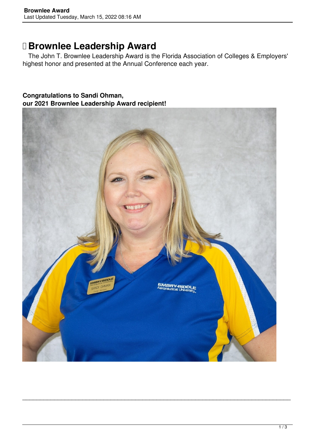# **Brownlee Leadership Award**

 The John T. Brownlee Leadership Award is the Florida Association of Colleges & Employers' highest honor and presented at the Annual Conference each year.

#### **Congratulations to Sandi Ohman, our 2021 Brownlee Leadership Award recipient!**



*\_\_\_\_\_\_\_\_\_\_\_\_\_\_\_\_\_\_\_\_\_\_\_\_\_\_\_\_\_\_\_\_\_\_\_\_\_\_\_\_\_\_\_\_\_\_\_\_\_\_\_\_\_\_\_\_\_\_\_\_\_\_\_\_\_\_\_\_\_\_\_\_\_\_\_\_*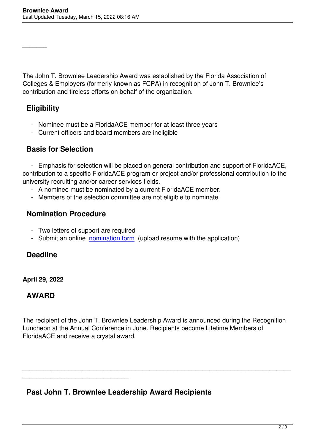The John T. Brownlee Leadership Award was established by the Florida Association of Colleges & Employers (formerly known as FCPA) in recognition of John T. Brownlee's contribution and tireless efforts on behalf of the organization.

## **Eligibility**

*\_\_\_\_\_\_\_*

- Nominee must be a FloridaACE member for at least three years
- Current officers and board members are ineligible

### **Basis for Selection**

 - Emphasis for selection will be placed on general contribution and support of FloridaACE, contribution to a specific FloridaACE program or project and/or professional contribution to the university recruiting and/or career services fields.

- A nominee must be nominated by a current FloridaACE member.
- Members of the selection committee are not eligible to nominate.

#### **Nomination Procedure**

- Two letters of support are required

*\_\_\_\_\_\_\_\_\_\_\_\_\_\_\_\_\_\_\_\_\_\_\_\_\_\_\_\_\_\_*

- Submit an online nomination form (upload resume with the application)

#### **Deadline**

#### **April 29, 2022**

#### **AWARD**

The recipient of the John T. Brownlee Leadership Award is announced during the Recognition Luncheon at the Annual Conference in June. Recipients become Lifetime Members of FloridaACE and receive a crystal award.

*\_\_\_\_\_\_\_\_\_\_\_\_\_\_\_\_\_\_\_\_\_\_\_\_\_\_\_\_\_\_\_\_\_\_\_\_\_\_\_\_\_\_\_\_\_\_\_\_\_\_\_\_\_\_\_\_\_\_\_\_\_\_\_\_\_\_\_\_\_\_\_\_\_\_\_\_*

## **Past John T. Brownlee Leadership Award Recipients**